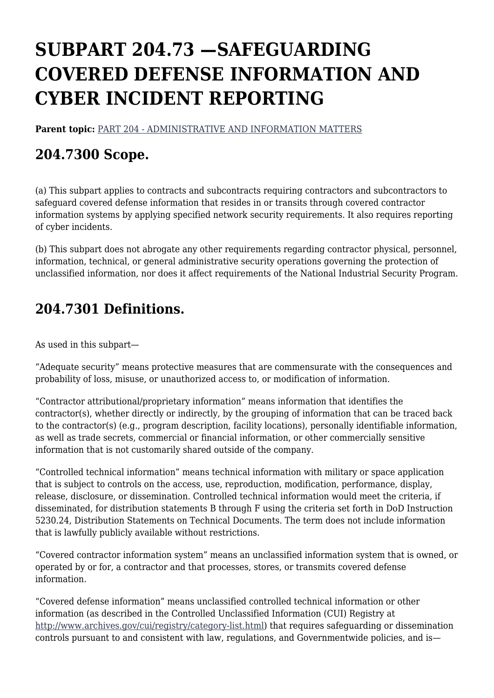# **SUBPART 204.73 —SAFEGUARDING COVERED DEFENSE INFORMATION AND CYBER INCIDENT REPORTING**

**Parent topic:** [PART 204 - ADMINISTRATIVE AND INFORMATION MATTERS](https://www.acquisition.gov/dfars/part-204-administrative-and-information-matters)

# **204.7300 Scope.**

(a) This subpart applies to contracts and subcontracts requiring contractors and subcontractors to safeguard covered defense information that resides in or transits through covered contractor information systems by applying specified network security requirements. It also requires reporting of cyber incidents.

(b) This subpart does not abrogate any other requirements regarding contractor physical, personnel, information, technical, or general administrative security operations governing the protection of unclassified information, nor does it affect requirements of the National Industrial Security Program.

# **204.7301 Definitions.**

As used in this subpart—

"Adequate security" means protective measures that are commensurate with the consequences and probability of loss, misuse, or unauthorized access to, or modification of information.

"Contractor attributional/proprietary information" means information that identifies the contractor(s), whether directly or indirectly, by the grouping of information that can be traced back to the contractor(s) (e.g., program description, facility locations), personally identifiable information, as well as trade secrets, commercial or financial information, or other commercially sensitive information that is not customarily shared outside of the company.

"Controlled technical information" means technical information with military or space application that is subject to controls on the access, use, reproduction, modification, performance, display, release, disclosure, or dissemination. Controlled technical information would meet the criteria, if disseminated, for distribution statements B through F using the criteria set forth in DoD Instruction 5230.24, Distribution Statements on Technical Documents. The term does not include information that is lawfully publicly available without restrictions.

"Covered contractor information system" means an unclassified information system that is owned, or operated by or for, a contractor and that processes, stores, or transmits covered defense information.

"Covered defense information" means unclassified controlled technical information or other information (as described in the Controlled Unclassified Information (CUI) Registry at <http://www.archives.gov/cui/registry/category-list.html>) that requires safeguarding or dissemination controls pursuant to and consistent with law, regulations, and Governmentwide policies, and is—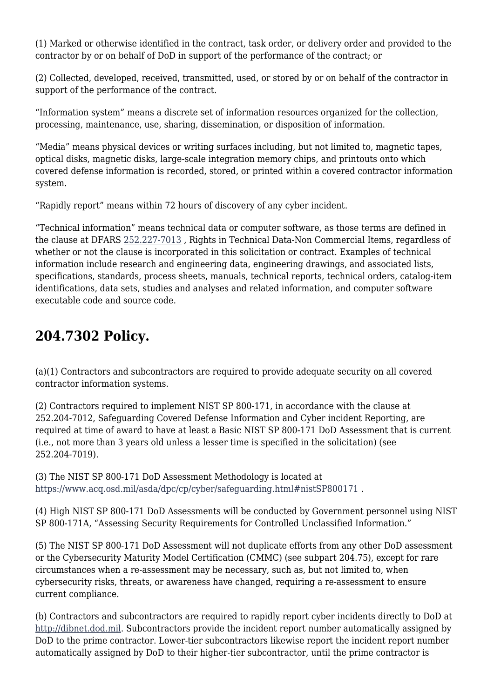(1) Marked or otherwise identified in the contract, task order, or delivery order and provided to the contractor by or on behalf of DoD in support of the performance of the contract; or

(2) Collected, developed, received, transmitted, used, or stored by or on behalf of the contractor in support of the performance of the contract.

"Information system" means a discrete set of information resources organized for the collection, processing, maintenance, use, sharing, dissemination, or disposition of information.

"Media" means physical devices or writing surfaces including, but not limited to, magnetic tapes, optical disks, magnetic disks, large-scale integration memory chips, and printouts onto which covered defense information is recorded, stored, or printed within a covered contractor information system.

"Rapidly report" means within 72 hours of discovery of any cyber incident.

"Technical information" means technical data or computer software, as those terms are defined in the clause at DFARS [252.227-7013](https://www.acquisition.gov/dfars/subpart-252.2-—text-provisions-and-clauses#DFARS_252.227-7013) , Rights in Technical Data-Non Commercial Items, regardless of whether or not the clause is incorporated in this solicitation or contract. Examples of technical information include research and engineering data, engineering drawings, and associated lists, specifications, standards, process sheets, manuals, technical reports, technical orders, catalog-item identifications, data sets, studies and analyses and related information, and computer software executable code and source code.

### **204.7302 Policy.**

(a)(1) Contractors and subcontractors are required to provide adequate security on all covered contractor information systems.

(2) Contractors required to implement NIST SP 800-171, in accordance with the clause at 252.204-7012, Safeguarding Covered Defense Information and Cyber incident Reporting, are required at time of award to have at least a Basic NIST SP 800-171 DoD Assessment that is current (i.e., not more than 3 years old unless a lesser time is specified in the solicitation) (see 252.204-7019).

(3) The NIST SP 800-171 DoD Assessment Methodology is located at <https://www.acq.osd.mil/asda/dpc/cp/cyber/safeguarding.html#nistSP800171> .

(4) High NIST SP 800-171 DoD Assessments will be conducted by Government personnel using NIST SP 800-171A, "Assessing Security Requirements for Controlled Unclassified Information."

(5) The NIST SP 800-171 DoD Assessment will not duplicate efforts from any other DoD assessment or the Cybersecurity Maturity Model Certification (CMMC) (see subpart 204.75), except for rare circumstances when a re-assessment may be necessary, such as, but not limited to, when cybersecurity risks, threats, or awareness have changed, requiring a re-assessment to ensure current compliance.

(b) Contractors and subcontractors are required to rapidly report cyber incidents directly to DoD at [http://dibnet.dod.mil.](http://dibnet.dod.mil) Subcontractors provide the incident report number automatically assigned by DoD to the prime contractor. Lower-tier subcontractors likewise report the incident report number automatically assigned by DoD to their higher-tier subcontractor, until the prime contractor is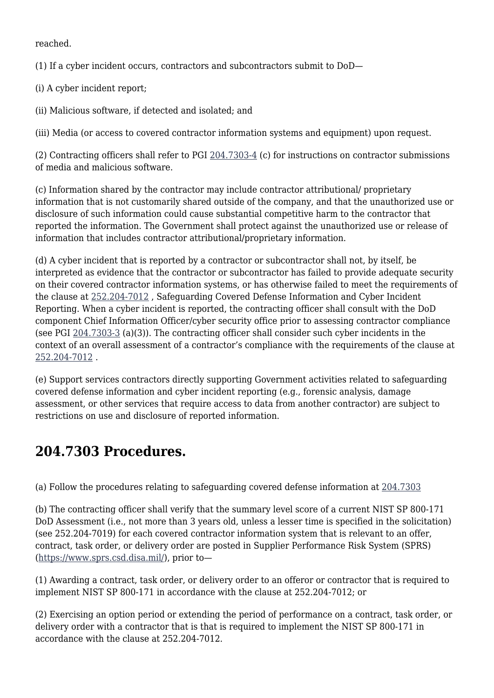reached.

(1) If a cyber incident occurs, contractors and subcontractors submit to DoD—

(i) A cyber incident report;

(ii) Malicious software, if detected and isolated; and

(iii) Media (or access to covered contractor information systems and equipment) upon request.

(2) Contracting officers shall refer to PGI [204.7303-4](https://www.acquisition.gov/dfarspgi/pgi-204.7303-4-dod-damage-assessment-activities.#DFARS_PGI_PGI_204.7303-4) (c) for instructions on contractor submissions of media and malicious software.

(c) Information shared by the contractor may include contractor attributional/ proprietary information that is not customarily shared outside of the company, and that the unauthorized use or disclosure of such information could cause substantial competitive harm to the contractor that reported the information. The Government shall protect against the unauthorized use or release of information that includes contractor attributional/proprietary information.

(d) A cyber incident that is reported by a contractor or subcontractor shall not, by itself, be interpreted as evidence that the contractor or subcontractor has failed to provide adequate security on their covered contractor information systems, or has otherwise failed to meet the requirements of the clause at [252.204-7012](https://www.acquisition.gov/dfars/subpart-252.2-—text-provisions-and-clauses#DFARS_252.204-7012) , Safeguarding Covered Defense Information and Cyber Incident Reporting. When a cyber incident is reported, the contracting officer shall consult with the DoD component Chief Information Officer/cyber security office prior to assessing contractor compliance (see PGI [204.7303-3](https://www.acquisition.gov/dfarspgi/pgi-204.7303-3-cyber-incident-and-compromise-reporting.#DFARS_PGI_PGI_204.7303-3) (a)(3)). The contracting officer shall consider such cyber incidents in the context of an overall assessment of a contractor's compliance with the requirements of the clause at [252.204-7012](https://www.acquisition.gov/dfars/subpart-252.2-—text-provisions-and-clauses#DFARS_252.204-7012) .

(e) Support services contractors directly supporting Government activities related to safeguarding covered defense information and cyber incident reporting (e.g., forensic analysis, damage assessment, or other services that require access to data from another contractor) are subject to restrictions on use and disclosure of reported information.

## **204.7303 Procedures.**

(a) Follow the procedures relating to safeguarding covered defense information at [204.7303](https://www.acquisition.gov/dfarspgi/pgi-204.7303-procedures.#DFARS_PGI_PGI_204.7303)

(b) The contracting officer shall verify that the summary level score of a current NIST SP 800-171 DoD Assessment (i.e., not more than 3 years old, unless a lesser time is specified in the solicitation) (see 252.204-7019) for each covered contractor information system that is relevant to an offer, contract, task order, or delivery order are posted in Supplier Performance Risk System (SPRS) [\(https://www.sprs.csd.disa.mil/\)](https://www.sprs.csd.disa.mil/), prior to—

(1) Awarding a contract, task order, or delivery order to an offeror or contractor that is required to implement NIST SP 800-171 in accordance with the clause at 252.204-7012; or

(2) Exercising an option period or extending the period of performance on a contract, task order, or delivery order with a contractor that is that is required to implement the NIST SP 800-171 in accordance with the clause at 252.204-7012.